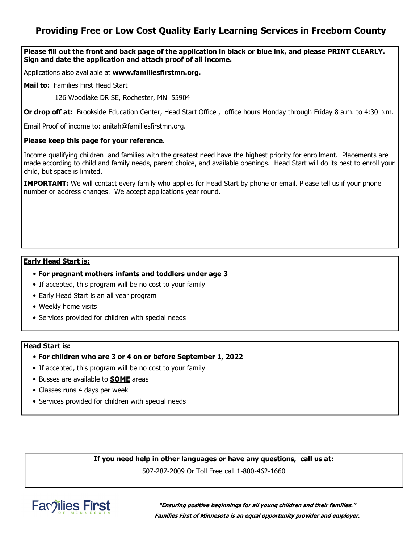## **Providing Free or Low Cost Quality Early Learning Services in Freeborn County**

**Please fill out the front and back page of the application in black or blue ink, and please PRINT CLEARLY. Sign and date the application and attach proof of all income.** 

Applications also available at **www.familiesfirstmn.org.**

**Mail to:** Families First Head Start

126 Woodlake DR SE, Rochester, MN 55904

**Or drop off at:** Brookside Education Center, Head Start Office , office hours Monday through Friday 8 a.m. to 4:30 p.m.

Email Proof of income to: anitah@familiesfirstmn.org.

### **Please keep this page for your reference.**

Income qualifying children and families with the greatest need have the highest priority for enrollment. Placements are made according to child and family needs, parent choice, and available openings. Head Start will do its best to enroll your child, but space is limited.

**IMPORTANT:** We will contact every family who applies for Head Start by phone or email. Please tell us if your phone number or address changes. We accept applications year round.

### **Early Head Start is:**

- **For pregnant mothers infants and toddlers under age 3**
- If accepted, this program will be no cost to your family
- Early Head Start is an all year program
- Weekly home visits
- Services provided for children with special needs

### **Head Start is:**

- **For children who are 3 or 4 on or before September 1, 2022**
- If accepted, this program will be no cost to your family
- Busses are available to **SOME** areas
- Classes runs 4 days per week
- Services provided for children with special needs

**If you need help in other languages or have any questions, call us at:** 

507-287-2009 Or Toll Free call 1-800-462-1660



**"Ensuring positive beginnings for all young children and their families." Families First of Minnesota is an equal opportunity provider and employer.**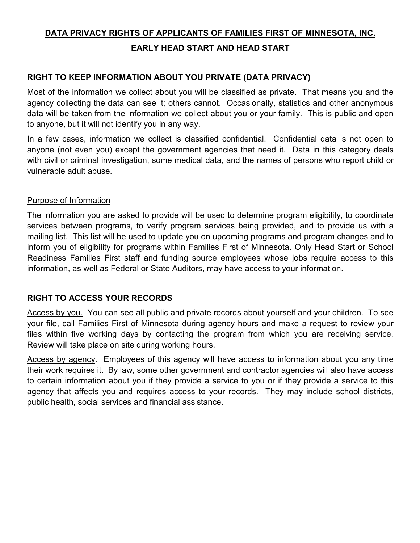# **DATA PRIVACY RIGHTS OF APPLICANTS OF FAMILIES FIRST OF MINNESOTA, INC. EARLY HEAD START AND HEAD START**

## **RIGHT TO KEEP INFORMATION ABOUT YOU PRIVATE (DATA PRIVACY)**

Most of the information we collect about you will be classified as private. That means you and the agency collecting the data can see it; others cannot. Occasionally, statistics and other anonymous data will be taken from the information we collect about you or your family. This is public and open to anyone, but it will not identify you in any way.

In a few cases, information we collect is classified confidential. Confidential data is not open to anyone (not even you) except the government agencies that need it. Data in this category deals with civil or criminal investigation, some medical data, and the names of persons who report child or vulnerable adult abuse.

## Purpose of Information

The information you are asked to provide will be used to determine program eligibility, to coordinate services between programs, to verify program services being provided, and to provide us with a mailing list. This list will be used to update you on upcoming programs and program changes and to inform you of eligibility for programs within Families First of Minnesota. Only Head Start or School Readiness Families First staff and funding source employees whose jobs require access to this information, as well as Federal or State Auditors, may have access to your information.

## **RIGHT TO ACCESS YOUR RECORDS**

Access by you. You can see all public and private records about yourself and your children. To see your file, call Families First of Minnesota during agency hours and make a request to review your files within five working days by contacting the program from which you are receiving service. Review will take place on site during working hours.

Access by agency. Employees of this agency will have access to information about you any time their work requires it. By law, some other government and contractor agencies will also have access to certain information about you if they provide a service to you or if they provide a service to this agency that affects you and requires access to your records. They may include school districts, public health, social services and financial assistance.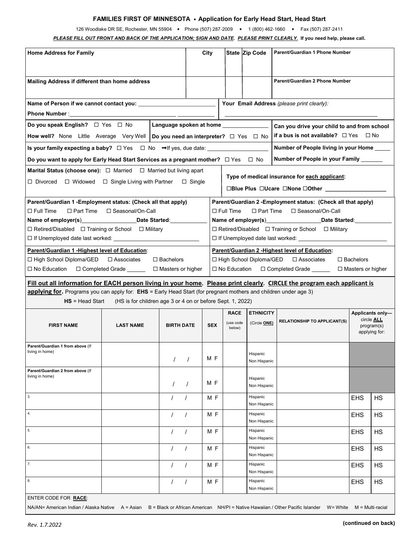#### **FAMILIES FIRST OF MINNESOTA** • **Application for Early Head Start, Head Start**

126 Woodlake DR SE, Rochester, MN 55904 • Phone (507) 287-2009 • 1 (800) 462-1660 • Fax (507) 287-2411

*PLEASE FILL OUT FRONT AND BACK OF THE APPLICATION; SIGN AND DATE***.** *PLEASE PRINT CLEARLY.* **If you need help, please call.**

| <b>Home Address for Family</b>                                                                                                                                                                                                      |                                                            | City              |  |                                                                   | State Zip Code                                                                                                                                                      | Parent/Guardian 1 Phone Number                                                                     |                                            |            |                                           |  |  |  |  |
|-------------------------------------------------------------------------------------------------------------------------------------------------------------------------------------------------------------------------------------|------------------------------------------------------------|-------------------|--|-------------------------------------------------------------------|---------------------------------------------------------------------------------------------------------------------------------------------------------------------|----------------------------------------------------------------------------------------------------|--------------------------------------------|------------|-------------------------------------------|--|--|--|--|
| Mailing Address if different than home address                                                                                                                                                                                      |                                                            |                   |  |                                                                   |                                                                                                                                                                     |                                                                                                    | Parent/Guardian 2 Phone Number             |            |                                           |  |  |  |  |
| Name of Person if we cannot contact you:                                                                                                                                                                                            |                                                            |                   |  |                                                                   |                                                                                                                                                                     |                                                                                                    | Your Email Address (please print clearly): |            |                                           |  |  |  |  |
| <b>Phone Number:</b> The contract of the contract of the contract of the contract of the contract of the contract of the contract of the contract of the contract of the contract of the contract of the contract of the contract o |                                                            |                   |  |                                                                   |                                                                                                                                                                     |                                                                                                    |                                            |            |                                           |  |  |  |  |
| Do you speak English? $\Box$ Yes $\Box$ No                                                                                                                                                                                          |                                                            |                   |  |                                                                   | Language spoken at home ______________<br>Can you drive your child to and from school                                                                               |                                                                                                    |                                            |            |                                           |  |  |  |  |
| How well? None Little Average Very Well Do you need an interpreter? □ Yes □ No                                                                                                                                                      |                                                            |                   |  |                                                                   |                                                                                                                                                                     | if a bus is not available? $\Box$ Yes $\Box$ No                                                    |                                            |            |                                           |  |  |  |  |
| Number of People living in your Home                                                                                                                                                                                                |                                                            |                   |  |                                                                   |                                                                                                                                                                     |                                                                                                    |                                            |            |                                           |  |  |  |  |
| Number of People in your Family ______<br>Do you want to apply for Early Head Start Services as a pregnant mother? $\Box$ Yes $\Box$ No                                                                                             |                                                            |                   |  |                                                                   |                                                                                                                                                                     |                                                                                                    |                                            |            |                                           |  |  |  |  |
| <b>Marital Status (choose one):</b> $\Box$ Married $\Box$ Married but living apart<br>$\Box$ Divorced $\Box$ Widowed $\Box$ Single Living with Partner $\Box$ Single                                                                |                                                            |                   |  |                                                                   |                                                                                                                                                                     | Type of medical insurance for each applicant:<br>□Blue Plus □Ucare □None □Other __________________ |                                            |            |                                           |  |  |  |  |
| Parent/Guardian 1 - Employment status: (Check all that apply)<br>$\Box$ Full Time<br>$\square$ Part Time<br>□ Seasonal/On-Call<br>Name of employer(s) Date Started:                                                                 |                                                            |                   |  |                                                                   | Parent/Guardian 2 - Employment status: (Check all that apply)<br>$\Box$ Full Time<br>$\square$ Part Time<br>□ Seasonal/On-Call<br>Name of employer(s) Date Started: |                                                                                                    |                                            |            |                                           |  |  |  |  |
| $\Box$ Retired/Disabled $\Box$ Training or School $\Box$ Military                                                                                                                                                                   |                                                            |                   |  | $\Box$ Retired/Disabled $\Box$ Training or School $\Box$ Military |                                                                                                                                                                     |                                                                                                    |                                            |            |                                           |  |  |  |  |
| Parent/Guardian 1 - Highest level of Education:<br>Parent/Guardian 2 - Highest level of Education:                                                                                                                                  |                                                            |                   |  |                                                                   |                                                                                                                                                                     |                                                                                                    |                                            |            |                                           |  |  |  |  |
| □ High School Diploma/GED □ Associates<br>$\Box$ Bachelors<br>□ High School Diploma/GED<br>$\Box$ Bachelors<br>□ Associates                                                                                                         |                                                            |                   |  |                                                                   |                                                                                                                                                                     |                                                                                                    |                                            |            |                                           |  |  |  |  |
| □ No Education □ Completed Grade _______ □ Masters or higher<br>□ No Education □ Completed Grade ______<br>$\Box$ Masters or higher                                                                                                 |                                                            |                   |  |                                                                   |                                                                                                                                                                     |                                                                                                    |                                            |            |                                           |  |  |  |  |
| Fill out all information for EACH person living in your home. Please print clearly. CIRCLE the program each applicant is                                                                                                            |                                                            |                   |  |                                                                   |                                                                                                                                                                     |                                                                                                    |                                            |            |                                           |  |  |  |  |
| applying for. Programs you can apply for: EHS = Early Head Start (for pregnant mothers and children under age 3)<br>$HS = Head Start$                                                                                               | (HS is for children age 3 or 4 on or before Sept. 1, 2022) |                   |  |                                                                   |                                                                                                                                                                     |                                                                                                    |                                            |            |                                           |  |  |  |  |
|                                                                                                                                                                                                                                     |                                                            |                   |  |                                                                   | <b>RACE</b>                                                                                                                                                         | <b>ETHNICITY</b>                                                                                   |                                            |            | Applicants only-                          |  |  |  |  |
| <b>FIRST NAME</b>                                                                                                                                                                                                                   | <b>LAST NAME</b>                                           | <b>BIRTH DATE</b> |  | <b>SEX</b>                                                        | (use code<br>below)                                                                                                                                                 | (Circle ONE)                                                                                       | <b>RELATIONSHIP TO APPLICANT(S)</b>        |            | circle ALL<br>program(s)<br>applying for: |  |  |  |  |
| Parent/Guardian 1 from above (If<br>living in home)                                                                                                                                                                                 |                                                            |                   |  | M F                                                               |                                                                                                                                                                     | Hispanic<br>Non Hispanic                                                                           |                                            |            |                                           |  |  |  |  |
| Parent/Guardian 2 from above (If<br>living in home)                                                                                                                                                                                 |                                                            |                   |  | M F                                                               |                                                                                                                                                                     | Hispanic<br>Non Hispanic                                                                           |                                            |            |                                           |  |  |  |  |
| 3.                                                                                                                                                                                                                                  |                                                            |                   |  | M F                                                               |                                                                                                                                                                     | Hispanic<br>Non Hispanic                                                                           |                                            | <b>EHS</b> | <b>HS</b>                                 |  |  |  |  |
| 4.                                                                                                                                                                                                                                  |                                                            | $\prime$          |  | M F                                                               |                                                                                                                                                                     | Hispanic<br>Non Hispanic                                                                           |                                            | <b>EHS</b> | <b>HS</b>                                 |  |  |  |  |
| 5.                                                                                                                                                                                                                                  |                                                            | $\prime$          |  | MF                                                                |                                                                                                                                                                     | Hispanic<br>Non Hispanic                                                                           |                                            | <b>EHS</b> | <b>HS</b>                                 |  |  |  |  |
| 6.                                                                                                                                                                                                                                  |                                                            |                   |  | M F                                                               |                                                                                                                                                                     | Hispanic<br>Non Hispanic                                                                           |                                            | <b>EHS</b> | HS                                        |  |  |  |  |
| 7.                                                                                                                                                                                                                                  |                                                            |                   |  | M F                                                               |                                                                                                                                                                     | Hispanic<br>Non Hispanic                                                                           |                                            | <b>EHS</b> | <b>HS</b>                                 |  |  |  |  |
| 8.                                                                                                                                                                                                                                  |                                                            |                   |  | M F                                                               |                                                                                                                                                                     | Hispanic<br>Non Hispanic                                                                           |                                            | <b>EHS</b> | HS                                        |  |  |  |  |
| ENTER CODE FOR RACE:<br>NA/AN= American Indian / Alaska Native A = Asian B = Black or African American NH/PI = Native Hawaiian / Other Pacific Islander W= White<br>$M = Multi$ -racial                                             |                                                            |                   |  |                                                                   |                                                                                                                                                                     |                                                                                                    |                                            |            |                                           |  |  |  |  |